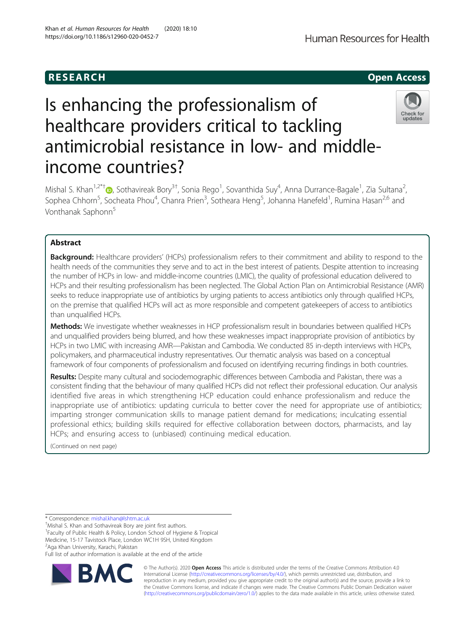## **RESEARCH CHEAR CHEAR CHEAR CHEAR CHEAR CHEAR CHEAR CHEAR CHEAR CHEAR CHEAR CHEAR CHEAR CHEAR CHEAR CHEAR CHEAR**

# Is enhancing the professionalism of healthcare providers critical to tackling antimicrobial resistance in low- and middleincome countries?



Mishal S. Khan<sup>1,2\*[†](http://orcid.org/0000-0002-8967-1761)</sup>®, Sothavireak Bory<sup>3†</sup>, Sonia Rego<sup>1</sup>, Sovanthida Suy<sup>4</sup>, Anna Durrance-Bagale<sup>1</sup>, Zia Sultana<sup>2</sup> , Sophea Chhorn<sup>5</sup>, Socheata Phou<sup>4</sup>, Chanra Prien<sup>3</sup>, Sotheara Heng<sup>5</sup>, Johanna Hanefeld<sup>1</sup>, Rumina Hasan<sup>2,6</sup> and Vonthanak Saphonn<sup>5</sup>

### Abstract

Background: Healthcare providers' (HCPs) professionalism refers to their commitment and ability to respond to the health needs of the communities they serve and to act in the best interest of patients. Despite attention to increasing the number of HCPs in low- and middle-income countries (LMIC), the quality of professional education delivered to HCPs and their resulting professionalism has been neglected. The Global Action Plan on Antimicrobial Resistance (AMR) seeks to reduce inappropriate use of antibiotics by urging patients to access antibiotics only through qualified HCPs, on the premise that qualified HCPs will act as more responsible and competent gatekeepers of access to antibiotics than unqualified HCPs.

Methods: We investigate whether weaknesses in HCP professionalism result in boundaries between qualified HCPs and unqualified providers being blurred, and how these weaknesses impact inappropriate provision of antibiotics by HCPs in two LMIC with increasing AMR—Pakistan and Cambodia. We conducted 85 in-depth interviews with HCPs, policymakers, and pharmaceutical industry representatives. Our thematic analysis was based on a conceptual framework of four components of professionalism and focused on identifying recurring findings in both countries.

Results: Despite many cultural and sociodemographic differences between Cambodia and Pakistan, there was a consistent finding that the behaviour of many qualified HCPs did not reflect their professional education. Our analysis identified five areas in which strengthening HCP education could enhance professionalism and reduce the inappropriate use of antibiotics: updating curricula to better cover the need for appropriate use of antibiotics; imparting stronger communication skills to manage patient demand for medications; inculcating essential professional ethics; building skills required for effective collaboration between doctors, pharmacists, and lay HCPs; and ensuring access to (unbiased) continuing medical education.

(Continued on next page)

\* Correspondence: [mishal.khan@lshtm.ac.uk](mailto:mishal.khan@lshtm.ac.uk) †

Mishal S. Khan and Sothavireak Bory are joint first authors.

<sup>1</sup> Faculty of Public Health & Policy, London School of Hygiene & Tropical Medicine, 15-17 Tavistock Place, London WC1H 9SH, United Kingdom <sup>2</sup>Aga Khan University, Karachi, Pakistan

Full list of author information is available at the end of the article



© The Author(s). 2020 **Open Access** This article is distributed under the terms of the Creative Commons Attribution 4.0 International License [\(http://creativecommons.org/licenses/by/4.0/](http://creativecommons.org/licenses/by/4.0/)), which permits unrestricted use, distribution, and reproduction in any medium, provided you give appropriate credit to the original author(s) and the source, provide a link to the Creative Commons license, and indicate if changes were made. The Creative Commons Public Domain Dedication waiver [\(http://creativecommons.org/publicdomain/zero/1.0/](http://creativecommons.org/publicdomain/zero/1.0/)) applies to the data made available in this article, unless otherwise stated.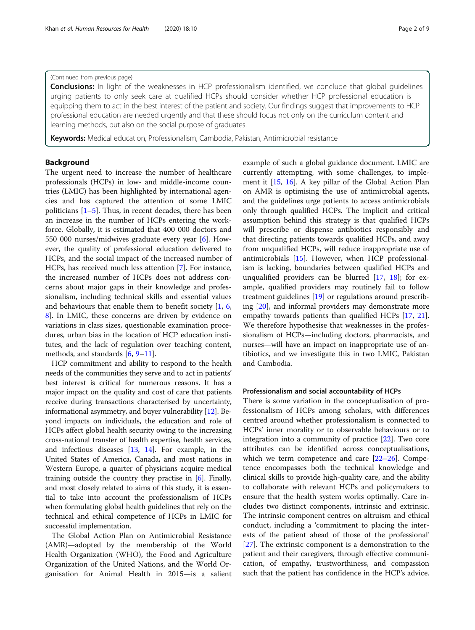#### (Continued from previous page)

**Conclusions:** In light of the weaknesses in HCP professionalism identified, we conclude that global guidelines urging patients to only seek care at qualified HCPs should consider whether HCP professional education is equipping them to act in the best interest of the patient and society. Our findings suggest that improvements to HCP professional education are needed urgently and that these should focus not only on the curriculum content and learning methods, but also on the social purpose of graduates.

Keywords: Medical education, Professionalism, Cambodia, Pakistan, Antimicrobial resistance

#### Background

The urgent need to increase the number of healthcare professionals (HCPs) in low- and middle-income countries (LMIC) has been highlighted by international agencies and has captured the attention of some LMIC politicians  $[1–5]$  $[1–5]$  $[1–5]$  $[1–5]$  $[1–5]$ . Thus, in recent decades, there has been an increase in the number of HCPs entering the workforce. Globally, it is estimated that 400 000 doctors and 550 000 nurses/midwives graduate every year [\[6](#page-7-0)]. However, the quality of professional education delivered to HCPs, and the social impact of the increased number of HCPs, has received much less attention [[7\]](#page-7-0). For instance, the increased number of HCPs does not address concerns about major gaps in their knowledge and professionalism, including technical skills and essential values and behaviours that enable them to benefit society  $[1, 6, 6]$  $[1, 6, 6]$  $[1, 6, 6]$  $[1, 6, 6]$ [8\]](#page-7-0). In LMIC, these concerns are driven by evidence on variations in class sizes, questionable examination procedures, urban bias in the location of HCP education institutes, and the lack of regulation over teaching content, methods, and standards  $[6, 9-11]$  $[6, 9-11]$  $[6, 9-11]$  $[6, 9-11]$  $[6, 9-11]$ .

HCP commitment and ability to respond to the health needs of the communities they serve and to act in patients' best interest is critical for numerous reasons. It has a major impact on the quality and cost of care that patients receive during transactions characterised by uncertainty, informational asymmetry, and buyer vulnerability [[12](#page-7-0)]. Beyond impacts on individuals, the education and role of HCPs affect global health security owing to the increasing cross-national transfer of health expertise, health services, and infectious diseases [\[13](#page-7-0), [14\]](#page-7-0). For example, in the United States of America, Canada, and most nations in Western Europe, a quarter of physicians acquire medical training outside the country they practise in [\[6\]](#page-7-0). Finally, and most closely related to aims of this study, it is essential to take into account the professionalism of HCPs when formulating global health guidelines that rely on the technical and ethical competence of HCPs in LMIC for successful implementation.

The Global Action Plan on Antimicrobial Resistance (AMR)—adopted by the membership of the World Health Organization (WHO), the Food and Agriculture Organization of the United Nations, and the World Organisation for Animal Health in 2015—is a salient example of such a global guidance document. LMIC are currently attempting, with some challenges, to implement it [\[15](#page-7-0), [16\]](#page-7-0). A key pillar of the Global Action Plan on AMR is optimising the use of antimicrobial agents, and the guidelines urge patients to access antimicrobials only through qualified HCPs. The implicit and critical assumption behind this strategy is that qualified HCPs will prescribe or dispense antibiotics responsibly and that directing patients towards qualified HCPs, and away from unqualified HCPs, will reduce inappropriate use of antimicrobials [[15\]](#page-7-0). However, when HCP professionalism is lacking, boundaries between qualified HCPs and unqualified providers can be blurred [\[17](#page-7-0), [18](#page-7-0)]; for example, qualified providers may routinely fail to follow treatment guidelines [[19](#page-7-0)] or regulations around prescribing [\[20](#page-7-0)], and informal providers may demonstrate more empathy towards patients than qualified HCPs [[17](#page-7-0), [21](#page-7-0)]. We therefore hypothesise that weaknesses in the professionalism of HCPs—including doctors, pharmacists, and nurses—will have an impact on inappropriate use of antibiotics, and we investigate this in two LMIC, Pakistan and Cambodia.

#### Professionalism and social accountability of HCPs

There is some variation in the conceptualisation of professionalism of HCPs among scholars, with differences centred around whether professionalism is connected to HCPs' inner morality or to observable behaviours or to integration into a community of practice [[22](#page-7-0)]. Two core attributes can be identified across conceptualisations, which we term competence and care [\[22](#page-7-0)–[26\]](#page-7-0). Competence encompasses both the technical knowledge and clinical skills to provide high-quality care, and the ability to collaborate with relevant HCPs and policymakers to ensure that the health system works optimally. Care includes two distinct components, intrinsic and extrinsic. The intrinsic component centres on altruism and ethical conduct, including a 'commitment to placing the interests of the patient ahead of those of the professional' [[27\]](#page-7-0). The extrinsic component is a demonstration to the patient and their caregivers, through effective communication, of empathy, trustworthiness, and compassion such that the patient has confidence in the HCP's advice.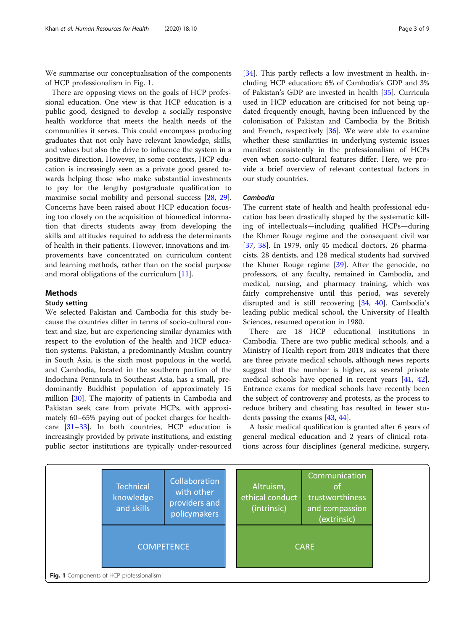<span id="page-2-0"></span>We summarise our conceptualisation of the components of HCP professionalism in Fig. 1.

There are opposing views on the goals of HCP professional education. One view is that HCP education is a public good, designed to develop a socially responsive health workforce that meets the health needs of the communities it serves. This could encompass producing graduates that not only have relevant knowledge, skills, and values but also the drive to influence the system in a positive direction. However, in some contexts, HCP education is increasingly seen as a private good geared towards helping those who make substantial investments to pay for the lengthy postgraduate qualification to maximise social mobility and personal success [\[28](#page-7-0), [29](#page-7-0)]. Concerns have been raised about HCP education focusing too closely on the acquisition of biomedical information that directs students away from developing the skills and attitudes required to address the determinants of health in their patients. However, innovations and improvements have concentrated on curriculum content and learning methods, rather than on the social purpose and moral obligations of the curriculum [\[11](#page-7-0)].

#### Methods

#### Study setting

We selected Pakistan and Cambodia for this study because the countries differ in terms of socio-cultural context and size, but are experiencing similar dynamics with respect to the evolution of the health and HCP education systems. Pakistan, a predominantly Muslim country in South Asia, is the sixth most populous in the world, and Cambodia, located in the southern portion of the Indochina Peninsula in Southeast Asia, has a small, predominantly Buddhist population of approximately 15 million [[30\]](#page-7-0). The majority of patients in Cambodia and Pakistan seek care from private HCPs, with approximately 60–65% paying out of pocket charges for healthcare [[31](#page-7-0)–[33](#page-7-0)]. In both countries, HCP education is increasingly provided by private institutions, and existing public sector institutions are typically under-resourced [[34\]](#page-8-0). This partly reflects a low investment in health, including HCP education; 6% of Cambodia's GDP and 3% of Pakistan's GDP are invested in health [\[35\]](#page-8-0). Curricula used in HCP education are criticised for not being updated frequently enough, having been influenced by the colonisation of Pakistan and Cambodia by the British and French, respectively [\[36\]](#page-8-0). We were able to examine whether these similarities in underlying systemic issues manifest consistently in the professionalism of HCPs even when socio-cultural features differ. Here, we provide a brief overview of relevant contextual factors in our study countries.

#### Cambodia

The current state of health and health professional education has been drastically shaped by the systematic killing of intellectuals—including qualified HCPs—during the Khmer Rouge regime and the consequent civil war [[37,](#page-8-0) [38\]](#page-8-0). In 1979, only 45 medical doctors, 26 pharmacists, 28 dentists, and 128 medical students had survived the Khmer Rouge regime [[39](#page-8-0)]. After the genocide, no professors, of any faculty, remained in Cambodia, and medical, nursing, and pharmacy training, which was fairly comprehensive until this period, was severely disrupted and is still recovering [\[34,](#page-8-0) [40](#page-8-0)]. Cambodia's leading public medical school, the University of Health Sciences, resumed operation in 1980.

There are 18 HCP educational institutions in Cambodia. There are two public medical schools, and a Ministry of Health report from 2018 indicates that there are three private medical schools, although news reports suggest that the number is higher, as several private medical schools have opened in recent years [[41](#page-8-0), [42](#page-8-0)]. Entrance exams for medical schools have recently been the subject of controversy and protests, as the process to reduce bribery and cheating has resulted in fewer students passing the exams [[43,](#page-8-0) [44\]](#page-8-0).

A basic medical qualification is granted after 6 years of general medical education and 2 years of clinical rotations across four disciplines (general medicine, surgery,

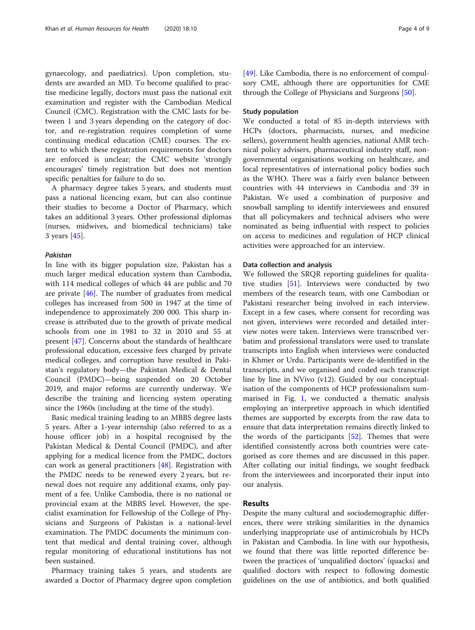gynaecology, and paediatrics). Upon completion, students are awarded an MD. To become qualified to practise medicine legally, doctors must pass the national exit examination and register with the Cambodian Medical Council (CMC). Registration with the CMC lasts for between 1 and 3 years depending on the category of doctor, and re-registration requires completion of some continuing medical education (CME) courses. The extent to which these registration requirements for doctors are enforced is unclear; the CMC website 'strongly encourages' timely registration but does not mention specific penalties for failure to do so.

A pharmacy degree takes 5 years, and students must pass a national licencing exam, but can also continue their studies to become a Doctor of Pharmacy, which takes an additional 3 years. Other professional diplomas (nurses, midwives, and biomedical technicians) take 3 years [\[45](#page-8-0)].

#### Pakistan

In line with its bigger population size, Pakistan has a much larger medical education system than Cambodia, with 114 medical colleges of which 44 are public and 70 are private  $[46]$  $[46]$ . The number of graduates from medical colleges has increased from 500 in 1947 at the time of independence to approximately 200 000. This sharp increase is attributed due to the growth of private medical schools from one in 1981 to 32 in 2010 and 55 at present [\[47\]](#page-8-0). Concerns about the standards of healthcare professional education, excessive fees charged by private medical colleges, and corruption have resulted in Pakistan's regulatory body—the Pakistan Medical & Dental Council (PMDC)—being suspended on 20 October 2019, and major reforms are currently underway. We describe the training and licencing system operating since the 1960s (including at the time of the study).

Basic medical training leading to an MBBS degree lasts 5 years. After a 1-year internship (also referred to as a house officer job) in a hospital recognised by the Pakistan Medical & Dental Council (PMDC), and after applying for a medical licence from the PMDC, doctors can work as general practitioners [\[48](#page-8-0)]. Registration with the PMDC needs to be renewed every 2 years, but renewal does not require any additional exams, only payment of a fee. Unlike Cambodia, there is no national or provincial exam at the MBBS level. However, the specialist examination for Fellowship of the College of Physicians and Surgeons of Pakistan is a national-level examination. The PMDC documents the minimum content that medical and dental training cover, although regular monitoring of educational institutions has not been sustained.

Pharmacy training takes 5 years, and students are awarded a Doctor of Pharmacy degree upon completion

[[49\]](#page-8-0). Like Cambodia, there is no enforcement of compulsory CME, although there are opportunities for CME through the College of Physicians and Surgeons [[50\]](#page-8-0).

#### Study population

We conducted a total of 85 in-depth interviews with HCPs (doctors, pharmacists, nurses, and medicine sellers), government health agencies, national AMR technical policy advisers, pharmaceutical industry staff, nongovernmental organisations working on healthcare, and local representatives of international policy bodies such as the WHO. There was a fairly even balance between countries with 44 interviews in Cambodia and 39 in Pakistan. We used a combination of purposive and snowball sampling to identify interviewees and ensured that all policymakers and technical advisers who were nominated as being influential with respect to policies on access to medicines and regulation of HCP clinical activities were approached for an interview.

#### Data collection and analysis

We followed the SRQR reporting guidelines for qualitative studies [\[51](#page-8-0)]. Interviews were conducted by two members of the research team, with one Cambodian or Pakistani researcher being involved in each interview. Except in a few cases, where consent for recording was not given, interviews were recorded and detailed interview notes were taken. Interviews were transcribed verbatim and professional translators were used to translate transcripts into English when interviews were conducted in Khmer or Urdu. Participants were de-identified in the transcripts, and we organised and coded each transcript line by line in NVivo (v12). Guided by our conceptualisation of the components of HCP professionalism summarised in Fig. [1,](#page-2-0) we conducted a thematic analysis employing an interpretive approach in which identified themes are supported by excerpts from the raw data to ensure that data interpretation remains directly linked to the words of the participants [[52\]](#page-8-0). Themes that were identified consistently across both countries were categorised as core themes and are discussed in this paper. After collating our initial findings, we sought feedback from the interviewees and incorporated their input into our analysis.

#### Results

Despite the many cultural and sociodemographic differences, there were striking similarities in the dynamics underlying inappropriate use of antimicrobials by HCPs in Pakistan and Cambodia. In line with our hypothesis, we found that there was little reported difference between the practices of 'unqualified doctors' (quacks) and qualified doctors with respect to following domestic guidelines on the use of antibiotics, and both qualified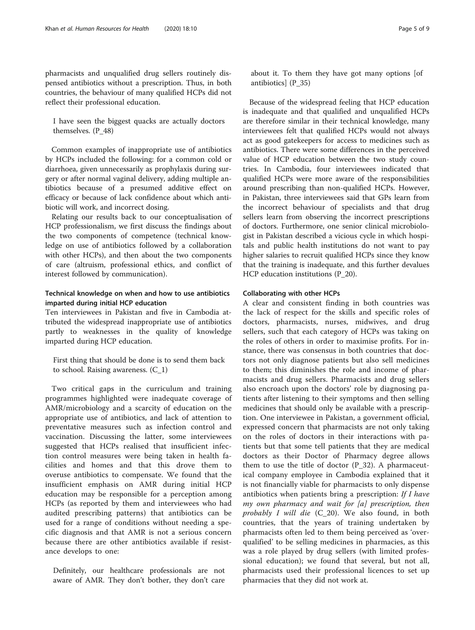pharmacists and unqualified drug sellers routinely dispensed antibiotics without a prescription. Thus, in both countries, the behaviour of many qualified HCPs did not reflect their professional education.

I have seen the biggest quacks are actually doctors themselves. (P\_48)

Common examples of inappropriate use of antibiotics by HCPs included the following: for a common cold or diarrhoea, given unnecessarily as prophylaxis during surgery or after normal vaginal delivery, adding multiple antibiotics because of a presumed additive effect on efficacy or because of lack confidence about which antibiotic will work, and incorrect dosing.

Relating our results back to our conceptualisation of HCP professionalism, we first discuss the findings about the two components of competence (technical knowledge on use of antibiotics followed by a collaboration with other HCPs), and then about the two components of care (altruism, professional ethics, and conflict of interest followed by communication).

#### Technical knowledge on when and how to use antibiotics imparted during initial HCP education

Ten interviewees in Pakistan and five in Cambodia attributed the widespread inappropriate use of antibiotics partly to weaknesses in the quality of knowledge imparted during HCP education.

First thing that should be done is to send them back to school. Raising awareness. (C\_1)

Two critical gaps in the curriculum and training programmes highlighted were inadequate coverage of AMR/microbiology and a scarcity of education on the appropriate use of antibiotics, and lack of attention to preventative measures such as infection control and vaccination. Discussing the latter, some interviewees suggested that HCPs realised that insufficient infection control measures were being taken in health facilities and homes and that this drove them to overuse antibiotics to compensate. We found that the insufficient emphasis on AMR during initial HCP education may be responsible for a perception among HCPs (as reported by them and interviewees who had audited prescribing patterns) that antibiotics can be used for a range of conditions without needing a specific diagnosis and that AMR is not a serious concern because there are other antibiotics available if resistance develops to one:

Definitely, our healthcare professionals are not aware of AMR. They don't bother, they don't care

about it. To them they have got many options [of antibiotics] (P\_35)

Because of the widespread feeling that HCP education is inadequate and that qualified and unqualified HCPs are therefore similar in their technical knowledge, many interviewees felt that qualified HCPs would not always act as good gatekeepers for access to medicines such as antibiotics. There were some differences in the perceived value of HCP education between the two study countries. In Cambodia, four interviewees indicated that qualified HCPs were more aware of the responsibilities around prescribing than non-qualified HCPs. However, in Pakistan, three interviewees said that GPs learn from the incorrect behaviour of specialists and that drug sellers learn from observing the incorrect prescriptions of doctors. Furthermore, one senior clinical microbiologist in Pakistan described a vicious cycle in which hospitals and public health institutions do not want to pay higher salaries to recruit qualified HCPs since they know that the training is inadequate, and this further devalues HCP education institutions (P\_20).

#### Collaborating with other HCPs

A clear and consistent finding in both countries was the lack of respect for the skills and specific roles of doctors, pharmacists, nurses, midwives, and drug sellers, such that each category of HCPs was taking on the roles of others in order to maximise profits. For instance, there was consensus in both countries that doctors not only diagnose patients but also sell medicines to them; this diminishes the role and income of pharmacists and drug sellers. Pharmacists and drug sellers also encroach upon the doctors' role by diagnosing patients after listening to their symptoms and then selling medicines that should only be available with a prescription. One interviewee in Pakistan, a government official, expressed concern that pharmacists are not only taking on the roles of doctors in their interactions with patients but that some tell patients that they are medical doctors as their Doctor of Pharmacy degree allows them to use the title of doctor  $(P_32)$ . A pharmaceutical company employee in Cambodia explained that it is not financially viable for pharmacists to only dispense antibiotics when patients bring a prescription: If I have my own pharmacy and wait for [a] prescription, then probably I will die  $(C_2 20)$ . We also found, in both countries, that the years of training undertaken by pharmacists often led to them being perceived as 'overqualified' to be selling medicines in pharmacies, as this was a role played by drug sellers (with limited professional education); we found that several, but not all, pharmacists used their professional licences to set up pharmacies that they did not work at.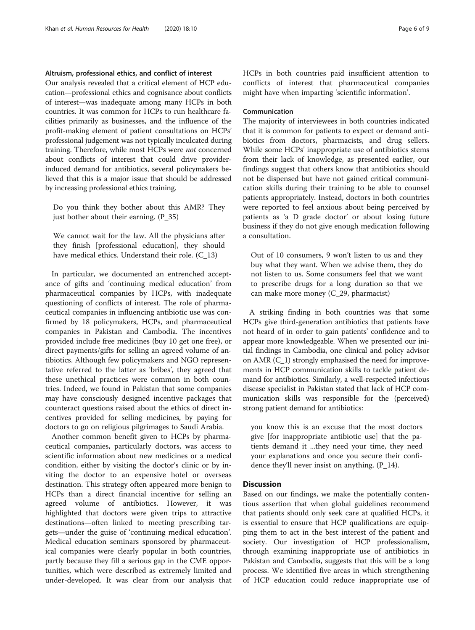#### Altruism, professional ethics, and conflict of interest

Our analysis revealed that a critical element of HCP education—professional ethics and cognisance about conflicts of interest—was inadequate among many HCPs in both countries. It was common for HCPs to run healthcare facilities primarily as businesses, and the influence of the profit-making element of patient consultations on HCPs' professional judgement was not typically inculcated during training. Therefore, while most HCPs were not concerned about conflicts of interest that could drive providerinduced demand for antibiotics, several policymakers believed that this is a major issue that should be addressed by increasing professional ethics training.

Do you think they bother about this AMR? They just bother about their earning. (P\_35)

We cannot wait for the law. All the physicians after they finish [professional education], they should have medical ethics. Understand their role. (C\_13)

In particular, we documented an entrenched acceptance of gifts and 'continuing medical education' from pharmaceutical companies by HCPs, with inadequate questioning of conflicts of interest. The role of pharmaceutical companies in influencing antibiotic use was confirmed by 18 policymakers, HCPs, and pharmaceutical companies in Pakistan and Cambodia. The incentives provided include free medicines (buy 10 get one free), or direct payments/gifts for selling an agreed volume of antibiotics. Although few policymakers and NGO representative referred to the latter as 'bribes', they agreed that these unethical practices were common in both countries. Indeed, we found in Pakistan that some companies may have consciously designed incentive packages that counteract questions raised about the ethics of direct incentives provided for selling medicines, by paying for doctors to go on religious pilgrimages to Saudi Arabia.

Another common benefit given to HCPs by pharmaceutical companies, particularly doctors, was access to scientific information about new medicines or a medical condition, either by visiting the doctor's clinic or by inviting the doctor to an expensive hotel or overseas destination. This strategy often appeared more benign to HCPs than a direct financial incentive for selling an agreed volume of antibiotics. However, it was highlighted that doctors were given trips to attractive destinations—often linked to meeting prescribing targets—under the guise of 'continuing medical education'. Medical education seminars sponsored by pharmaceutical companies were clearly popular in both countries, partly because they fill a serious gap in the CME opportunities, which were described as extremely limited and under-developed. It was clear from our analysis that HCPs in both countries paid insufficient attention to conflicts of interest that pharmaceutical companies might have when imparting 'scientific information'.

#### Communication

The majority of interviewees in both countries indicated that it is common for patients to expect or demand antibiotics from doctors, pharmacists, and drug sellers. While some HCPs' inappropriate use of antibiotics stems from their lack of knowledge, as presented earlier, our findings suggest that others know that antibiotics should not be dispensed but have not gained critical communication skills during their training to be able to counsel patients appropriately. Instead, doctors in both countries were reported to feel anxious about being perceived by patients as 'a D grade doctor' or about losing future business if they do not give enough medication following a consultation.

Out of 10 consumers, 9 won't listen to us and they buy what they want. When we advise them, they do not listen to us. Some consumers feel that we want to prescribe drugs for a long duration so that we can make more money (C\_29, pharmacist)

A striking finding in both countries was that some HCPs give third-generation antibiotics that patients have not heard of in order to gain patients' confidence and to appear more knowledgeable. When we presented our initial findings in Cambodia, one clinical and policy advisor on AMR (C\_1) strongly emphasised the need for improvements in HCP communication skills to tackle patient demand for antibiotics. Similarly, a well-respected infectious disease specialist in Pakistan stated that lack of HCP communication skills was responsible for the (perceived) strong patient demand for antibiotics:

you know this is an excuse that the most doctors give [for inappropriate antibiotic use] that the patients demand it ...they need your time, they need your explanations and once you secure their confidence they'll never insist on anything. (P\_14).

#### **Discussion**

Based on our findings, we make the potentially contentious assertion that when global guidelines recommend that patients should only seek care at qualified HCPs, it is essential to ensure that HCP qualifications are equipping them to act in the best interest of the patient and society. Our investigation of HCP professionalism, through examining inappropriate use of antibiotics in Pakistan and Cambodia, suggests that this will be a long process. We identified five areas in which strengthening of HCP education could reduce inappropriate use of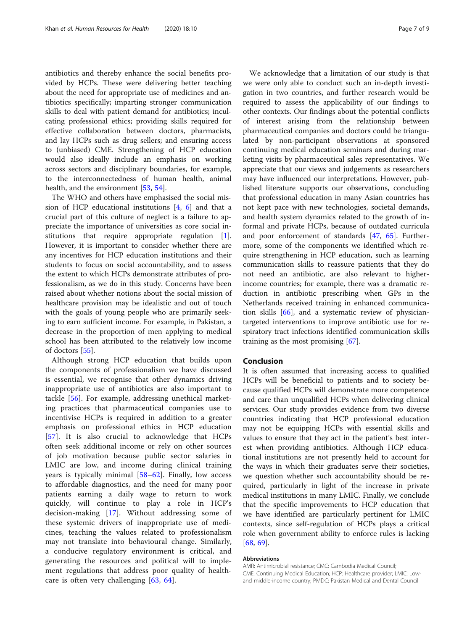antibiotics and thereby enhance the social benefits provided by HCPs. These were delivering better teaching about the need for appropriate use of medicines and antibiotics specifically; imparting stronger communication skills to deal with patient demand for antibiotics; inculcating professional ethics; providing skills required for effective collaboration between doctors, pharmacists, and lay HCPs such as drug sellers; and ensuring access to (unbiased) CME. Strengthening of HCP education would also ideally include an emphasis on working across sectors and disciplinary boundaries, for example, to the interconnectedness of human health, animal health, and the environment [\[53,](#page-8-0) [54\]](#page-8-0).

The WHO and others have emphasised the social mission of HCP educational institutions [\[4,](#page-7-0) [6\]](#page-7-0) and that a crucial part of this culture of neglect is a failure to appreciate the importance of universities as core social institutions that require appropriate regulation  $[1]$  $[1]$ . However, it is important to consider whether there are any incentives for HCP education institutions and their students to focus on social accountability, and to assess the extent to which HCPs demonstrate attributes of professionalism, as we do in this study. Concerns have been raised about whether notions about the social mission of healthcare provision may be idealistic and out of touch with the goals of young people who are primarily seeking to earn sufficient income. For example, in Pakistan, a decrease in the proportion of men applying to medical school has been attributed to the relatively low income of doctors [\[55](#page-8-0)].

Although strong HCP education that builds upon the components of professionalism we have discussed is essential, we recognise that other dynamics driving inappropriate use of antibiotics are also important to tackle [\[56](#page-8-0)]. For example, addressing unethical marketing practices that pharmaceutical companies use to incentivise HCPs is required in addition to a greater emphasis on professional ethics in HCP education [[57\]](#page-8-0). It is also crucial to acknowledge that HCPs often seek additional income or rely on other sources of job motivation because public sector salaries in LMIC are low, and income during clinical training years is typically minimal [[58](#page-8-0)–[62\]](#page-8-0). Finally, low access to affordable diagnostics, and the need for many poor patients earning a daily wage to return to work quickly, will continue to play a role in HCP's decision-making [[17\]](#page-7-0). Without addressing some of these systemic drivers of inappropriate use of medicines, teaching the values related to professionalism may not translate into behavioural change. Similarly, a conducive regulatory environment is critical, and generating the resources and political will to implement regulations that address poor quality of healthcare is often very challenging [\[63](#page-8-0), [64\]](#page-8-0).

We acknowledge that a limitation of our study is that we were only able to conduct such an in-depth investigation in two countries, and further research would be required to assess the applicability of our findings to other contexts. Our findings about the potential conflicts of interest arising from the relationship between pharmaceutical companies and doctors could be triangulated by non-participant observations at sponsored continuing medical education seminars and during marketing visits by pharmaceutical sales representatives. We appreciate that our views and judgements as researchers may have influenced our interpretations. However, published literature supports our observations, concluding that professional education in many Asian countries has not kept pace with new technologies, societal demands, and health system dynamics related to the growth of informal and private HCPs, because of outdated curricula and poor enforcement of standards [[47,](#page-8-0) [65\]](#page-8-0). Furthermore, some of the components we identified which require strengthening in HCP education, such as learning communication skills to reassure patients that they do not need an antibiotic, are also relevant to higherincome countries; for example, there was a dramatic reduction in antibiotic prescribing when GPs in the Netherlands received training in enhanced communication skills [[66](#page-8-0)], and a systematic review of physiciantargeted interventions to improve antibiotic use for respiratory tract infections identified communication skills training as the most promising  $[67]$ .

#### Conclusion

It is often assumed that increasing access to qualified HCPs will be beneficial to patients and to society because qualified HCPs will demonstrate more competence and care than unqualified HCPs when delivering clinical services. Our study provides evidence from two diverse countries indicating that HCP professional education may not be equipping HCPs with essential skills and values to ensure that they act in the patient's best interest when providing antibiotics. Although HCP educational institutions are not presently held to account for the ways in which their graduates serve their societies, we question whether such accountability should be required, particularly in light of the increase in private medical institutions in many LMIC. Finally, we conclude that the specific improvements to HCP education that we have identified are particularly pertinent for LMIC contexts, since self-regulation of HCPs plays a critical role when government ability to enforce rules is lacking [[68,](#page-8-0) [69\]](#page-8-0).

#### Abbreviations

AMR: Antimicrobial resistance; CMC: Cambodia Medical Council; CME: Continuing Medical Education; HCP: Healthcare provider; LMIC: Lowand middle-income country; PMDC: Pakistan Medical and Dental Council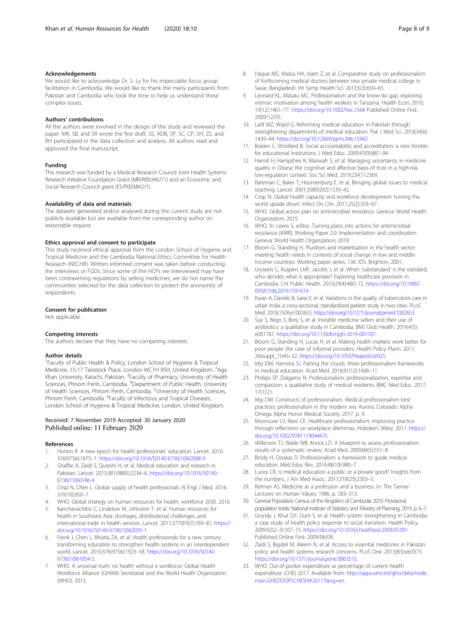#### <span id="page-7-0"></span>Acknowledgements

We would like to acknowledge Dr. S. Ly for his impeccable focus group facilitation in Cambodia. We would like to thank the many participants from Pakistan and Cambodia who took the time to help us understand these complex issues.

#### Authors' contributions

All the authors were involved in the design of the study and reviewed the paper. MK, SB, and SR wrote the first draft. SS, ADB, SP, SC, CP, SH, ZS, and RH participated in the data collection and analysis. All authors read and approved the final manuscript.

#### Funding

This research was funded by a Medical Research Council Joint Health Systems Research Initiative Foundation Grant (MR/R003467/1) and an Economic and Social Research Council grant (ES/P003842/1).

#### Availability of data and materials

The datasets generated and/or analysed during the current study are not publicly available but are available from the corresponding author on reasonable request.

#### Ethics approval and consent to participate

This study received ethical approval from the London School of Hygiene and Tropical Medicine and the Cambodia National Ethics Committee for Health Research (NECHR). Written informed consent was taken before conducting the interviews or FGDs. Since some of the HCPs we interviewed may have been contravening regulations by selling medicines, we do not name the communities selected for the data collection to protect the anonymity of respondents.

#### Consent for publication

Not applicable.

#### Competing interests

The authors declare that they have no competing interests.

#### Author details

<sup>1</sup> Faculty of Public Health & Policy, London School of Hygiene & Tropical Medicine, 15-17 Tavistock Place, London WC1H 9SH, United Kingdom. <sup>2</sup>Aga Khan University, Karachi, Pakistan. <sup>3</sup> Faculty of Pharmacy, University of Health Sciences, Phnom Penh, Cambodia. <sup>4</sup>Department of Public Health, University of Health Sciences, Phnom Penh, Cambodia. <sup>5</sup>University of Health Sciences, Phnom Penh, Cambodia. <sup>6</sup>Faculty of Infectious and Tropical Diseases, London School of Hygiene & Tropical Medicine, London, United Kingdom.

#### Received: 7 November 2019 Accepted: 30 January 2020 Published online: 11 February 2020

#### References

- 1. Horton R. A new epoch for health professionals' education. Lancet. 2010; 376(9756):1875–7. [https://doi.org/10.1016/S0140-6736\(10\)62008-9](https://doi.org/10.1016/S0140-6736(10)62008-9).
- 2. Ghaffar A, Zaidi S, Qureshi H, et al. Medical education and research in Pakistan. Lancet. 2013;381(9885):2234–6. [https://doi.org/10.1016/S0140-](https://doi.org/10.1016/S0140-6736(13)60146-4) [6736\(13\)60146-4](https://doi.org/10.1016/S0140-6736(13)60146-4).
- 3. Crisp N, Chen L. Global supply of health professionals. N Engl J Med. 2014; 370(10):950–7.
- 4. WHO. Global strategy on human resources for health: workforce 2030. 2016.
- Kanchanachitra C, Lindelow M, Johnston T, et al. Human resources for health in Southeast Asia: shortages, distributional challenges, and international trade in health services. Lancet. 2011;377(9767):769–81. [https://](https://doi.org/10.1016/S0140-6736(10)62035-1) [doi.org/10.1016/S0140-6736\(10\)62035-1](https://doi.org/10.1016/S0140-6736(10)62035-1).
- 6. Frenk J, Chen L, Bhutta ZA, et al. Health professionals for a new century: transforming education to strengthen health systems in an interdependent world. Lancet. 2010;376(9756):1923–58. [https://doi.org/10.1016/S0140-](https://doi.org/10.1016/S0140-6736(10)61854-5) [6736\(10\)61854-5](https://doi.org/10.1016/S0140-6736(10)61854-5).
- 7. WHO. A universal truth: no health without a workforce: Global Health Workforce Alliance (GHWA) Secretariat and the World Health Organization (WHO), 2013.
- 8. Haque MS, Abdus HA, Islam Z, et al. Comparative study on professionalism of forthcoming medical doctors between two private medical college in Savar, Bangladesh. Int Symp Health Sci. 2013;5(3):659–65.
- Leonard KL, Masatu MC. Professionalism and the know-do gap: exploring intrinsic motivation among health workers in Tanzania. Health Econ. 2010; 19(12):1461–77. <https://doi.org/10.1002/hec.1564> Published Online First: 2009/12/05.
- 10. Latif MZ, Wajid G. Reforming medical education in Pakistan through strengthening departments of medical education. Pak J Med Sci. 2018;34(6): 1439–44. <https://doi.org/10.12669/pjms.346.15942>.
- 11. Boelen C, Woollard B. Social accountability and accreditation: a new frontier for educational institutions. J Med Educ. 2009;43(9):887–94.
- 12. Hamill H, Hampshire K, Mariwah S, et al. Managing uncertainty in medicine quality in Ghana: the cognitive and affective basis of trust in a high-risk, low-regulation context. Soc Sci Med. 2019;234:112369.
- 13. Bateman C, Baker T, Hoornenborg E, et al. Bringing global issues to medical teaching. Lancet. 2001;358(9292):1539–42.
- 14. Crisp N. Global health capacity and workforce development: turning the world upside down. Infect Dis Clin. 2011;25(2):359–67.
- 15. WHO. Global action plan on antimicrobial resistance. Geneva: World Health Organization; 2015.
- 16. WHO. In: Lewis S, editor. Turning plans into actions for antimicrobial resistance (AMR), Working Paper 2.0: Implementation and coordination. Geneva: World Health Organization; 2019.
- 17. Bloom G, Standing H. Pluralism and marketisation in the health sector: meeting health needs in contexts of social change in low and middleincome countries. Working paper series, 136. IDS: Brighton; 2001.
- 18. Gryseels C, Kuijpers LMF, Jacobs J, et al. When 'substandard' is the standard, who decides what is appropriate? Exploring healthcare provision in Cambodia. Crit Public Health. 2019;29(4):460–72. [https://doi.org/10.1080/](https://doi.org/10.1080/09581596.2019.1591614) [09581596.2019.1591614.](https://doi.org/10.1080/09581596.2019.1591614)
- 19. Kwan A, Daniels B, Saria V, et al. Variations in the quality of tuberculosis care in urban India: a cross-sectional, standardized patient study in two cities. PLoS Med. 2018;15(9):e1002653. [https://doi.org/10.1371/journal.pmed.1002653.](https://doi.org/10.1371/journal.pmed.1002653)
- 20. Suy S, Rego S, Bory S, et al. Invisible medicine sellers and their use of antibiotics: a qualitative study in Cambodia. BMJ Glob Health. 2019;4(5): e001787. <https://doi.org/10.1136/bmjgh-2019-001787>.
- 21. Bloom G, Standing H, Lucas H, et al. Making health markets work better for poor people: the case of informal providers. Health Policy Plann. 2011; 26(suppl\_1):i45–52. <https://doi.org/10.1093/heapol/czr025>.
- 22. Irby DM, Hamstra SJ. Parting the clouds: three professionalism frameworks in medical education. Acad Med. 2016;91(12):1606–11.
- 23. Phillips SP, Dalgarno N. Professionalism, professionalization, expertise and compassion: a qualitative study of medical residents. BMC Med Educ. 2017; 17(1):21.
- 24. Irby DM. Constructs of professionalism. Medical professionalism best practices: professionalism in the modern era. Aurora, Colorado: Alpha Omega Alpha Honor Medical Society; 2017. p. 9.
- 25. Monrouxe LV, Rees CE. Healthcare professionalism: improving practice through reflections on workplace dilemmas. Hoboken: Wiley; 2017. [https://](https://doi.org/10.1002/9781119044475) [doi.org/10.1002/9781119044475.](https://doi.org/10.1002/9781119044475)
- 26. Wilkinson TJ, Wade WB, Knock LD. A blueprint to assess professionalism: results of a systematic review. Acad Med. 2009;84(5):551–8.
- 27. Brody H, Doukas D. Professionalism: a framework to guide medical education. Med Educ Rev. 2014;48(10):980–7.
- 28. Lucey CR. Is medical education a public or a private good? Insights from the numbers. J Am Med Assoc. 2017;318(23):2303–5.
- 29. Relman AS. Medicine as a profession and a business. In: The Tanner Lectures on Human Values; 1986. p. 283–313.
- 30. General Population Census of the Kingdom of Cambodia 2019. Provisional population totals: National Institute of Statistics and Ministry of Planning; 2019. p. 6–7.
- 31. Grundy J, Khut QY, Oum S, et al. Health system strengthening in Cambodiaa case study of health policy response to social transition. Health Policy. 2009;92(2–3):107–15. <https://doi.org/10.1016/j.healthpol.2009.05.001> Published Online First: 2009/06/09.
- 32. Zaidi S, Bigdeli M, Aleem N, et al. Access to essential medicines in Pakistan: policy and health systems research concerns. PLoS One. 2013;8(5):e63515. [https://doi.org/10.1371/journal.pone.0063515.](https://doi.org/10.1371/journal.pone.0063515)
- 33. WHO. Out-of-pocket expenditure as percentage of current health expenditure (CHE) 2017. Available from: [http://apps.who.int/gho/data/node.](http://apps.who.int/gho/data/node.main.GHEDOOPSCHESHA2011?lang=en) [main.GHEDOOPSCHESHA2011?lang=en.](http://apps.who.int/gho/data/node.main.GHEDOOPSCHESHA2011?lang=en)